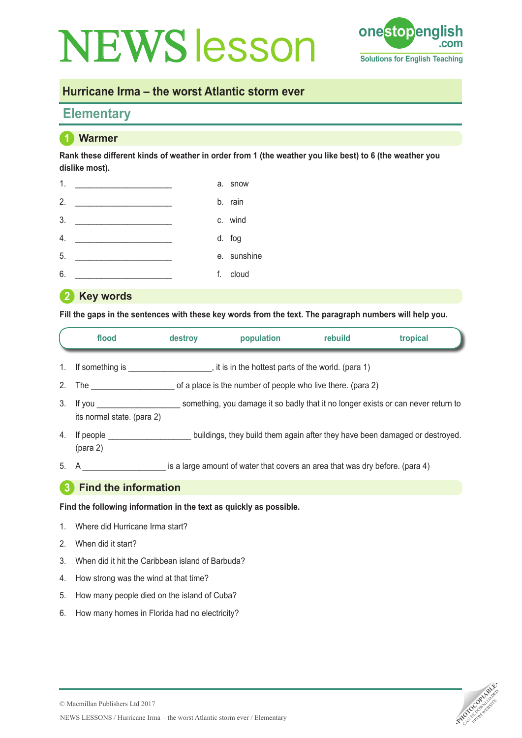# **NEWS esson one stop english** Te



## **Hurricane Irma – the worst Atlantic storm ever**

# **Elementary**

## **1 Warmer**

**Rank these different kinds of weather in order from 1 (the weather you like best) to 6 (the weather you dislike most).**

| 1. |                                                      | a. snow     |
|----|------------------------------------------------------|-------------|
| 2. |                                                      | b. rain     |
| 3. | <u> 1980 - Andrea Andrewski, politik a politik (</u> | c. wind     |
| 4. |                                                      | d. fog      |
| 5. |                                                      | e. sunshine |
| 6. |                                                      | f. cloud    |
|    |                                                      |             |

#### **2 Key words**

**Fill the gaps in the sentences with these key words from the text. The paragraph numbers will help you.** 

|                | flood                                                                        | destroy                                                     | population                                                                   | rebuild | tropical                                                                    |  |
|----------------|------------------------------------------------------------------------------|-------------------------------------------------------------|------------------------------------------------------------------------------|---------|-----------------------------------------------------------------------------|--|
| $1_{\cdot}$    | If something is example if it is in the hottest parts of the world. (para 1) |                                                             |                                                                              |         |                                                                             |  |
| 2 <sub>1</sub> | The $\qquad \qquad$                                                          | of a place is the number of people who live there. (para 2) |                                                                              |         |                                                                             |  |
| 3.             | its normal state. (para 2)                                                   |                                                             |                                                                              |         |                                                                             |  |
| 4.             | If people<br>(para 2)                                                        |                                                             |                                                                              |         | buildings, they build them again after they have been damaged or destroyed. |  |
| 5.             | A                                                                            |                                                             | is a large amount of water that covers an area that was dry before. (para 4) |         |                                                                             |  |

### **3 Find the information**

**Find the following information in the text as quickly as possible.** 

- 1. Where did Hurricane Irma start?
- 2. When did it start?
- 3. When did it hit the Caribbean island of Barbuda?
- 4. How strong was the wind at that time?
- 5. How many people died on the island of Cuba?
- 6. How many homes in Florida had no electricity?

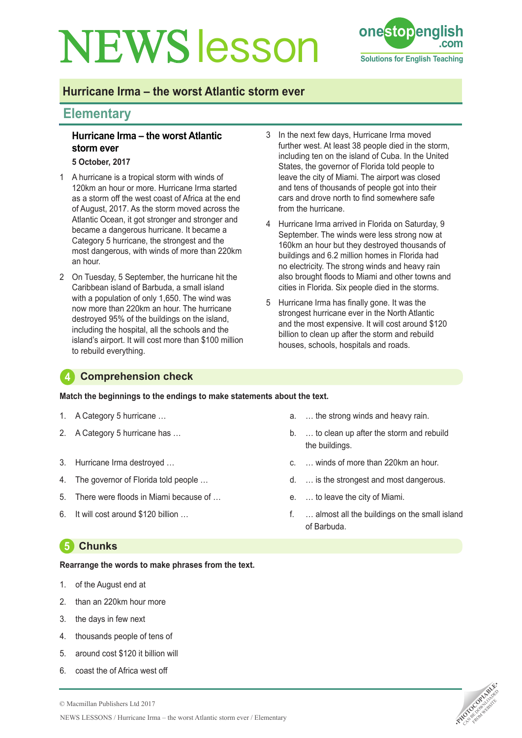# **NEWS** esson **one stop english**



## **Hurricane Irma – the worst Atlantic storm ever**

## **Elementary**

#### **Hurricane Irma – the worst Atlantic storm ever**

**5 October, 2017**

- 1 A hurricane is a tropical storm with winds of 120km an hour or more. Hurricane Irma started as a storm off the west coast of Africa at the end of August, 2017. As the storm moved across the Atlantic Ocean, it got stronger and stronger and became a dangerous hurricane. It became a Category 5 hurricane, the strongest and the most dangerous, with winds of more than 220km an hour.
- 2 On Tuesday, 5 September, the hurricane hit the Caribbean island of Barbuda, a small island with a population of only 1,650. The wind was now more than 220km an hour. The hurricane destroyed 95% of the buildings on the island, including the hospital, all the schools and the island's airport. It will cost more than \$100 million to rebuild everything.
- 3 In the next few days, Hurricane Irma moved further west. At least 38 people died in the storm, including ten on the island of Cuba. In the United States, the governor of Florida told people to leave the city of Miami. The airport was closed and tens of thousands of people got into their cars and drove north to find somewhere safe from the hurricane.
- 4 Hurricane Irma arrived in Florida on Saturday, 9 September. The winds were less strong now at 160km an hour but they destroyed thousands of buildings and 6.2 million homes in Florida had no electricity. The strong winds and heavy rain also brought floods to Miami and other towns and cities in Florida. Six people died in the storms.
- 5 Hurricane Irma has finally gone. It was the strongest hurricane ever in the North Atlantic and the most expensive. It will cost around \$120 billion to clean up after the storm and rebuild houses, schools, hospitals and roads.

### **4 Comprehension check**

**Match the beginnings to the endings to make statements about the text.**

- 1. A Category 5 hurricane …
- 2. A Category 5 hurricane has …
- 3. Hurricane Irma destroyed …
- 4. The governor of Florida told people …
- 5. There were floods in Miami because of …
- 6. It will cost around \$120 billion …

# **5 Chunks**

#### **Rearrange the words to make phrases from the text.**

- 1. of the August end at
- 2. than an 220km hour more
- 3. the days in few next
- 4. thousands people of tens of
- 5. around cost \$120 it billion will
- 6. coast the of Africa west off
- a. … the strong winds and heavy rain.
- b. … to clean up after the storm and rebuild the buildings.
- c. … winds of more than 220km an hour.
- d. … is the strongest and most dangerous.
- e. … to leave the city of Miami.
- f. … almost all the buildings on the small island of Barbuda.

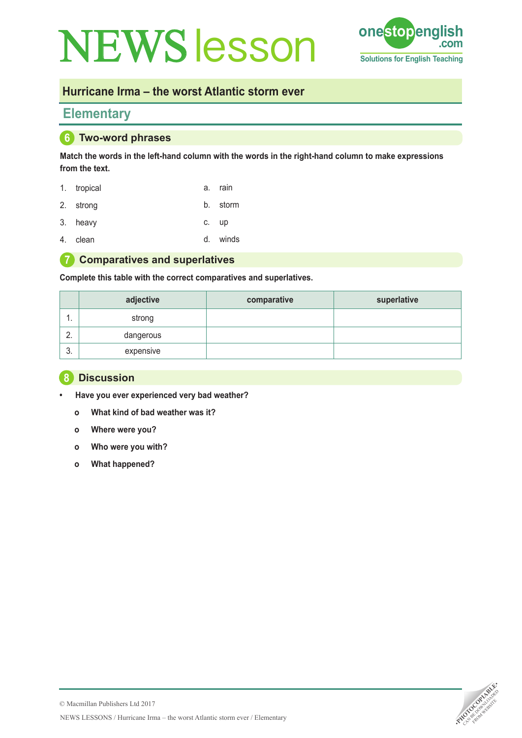# **NEWS esson one stop english Tead**



## **Hurricane Irma – the worst Atlantic storm ever**

## **Elementary**

### **6 Two-word phrases**

**Match the words in the left-hand column with the words in the right-hand column to make expressions from the text.**

- 1. tropical a. rain
- 2. strong b. storm
- 3. heavy c. up
- 4. clean d. winds

#### **7 Comparatives and superlatives**

**Complete this table with the correct comparatives and superlatives.** 

|                    | adjective | comparative | superlative |
|--------------------|-----------|-------------|-------------|
| . .                | strong    |             |             |
| $\sim$<br><u>.</u> | dangerous |             |             |
| ◠<br>ູບ.           | expensive |             |             |

#### **8 Discussion**

- **• Have you ever experienced very bad weather?**
- **o What kind of bad weather was it?**
- **o Where were you?**
- **o Who were you with?**
- **o What happened?**